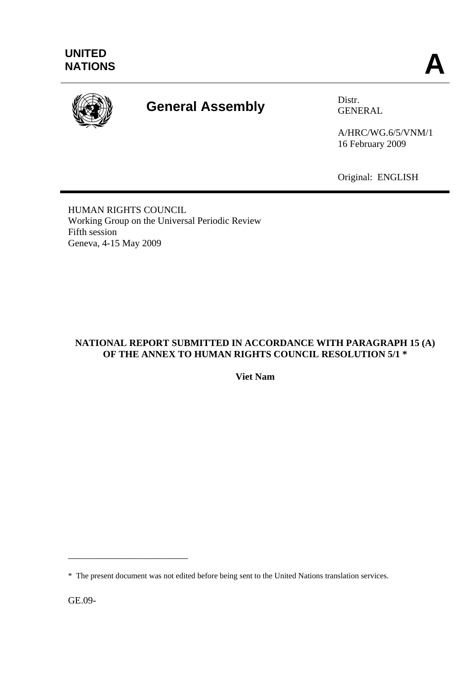

# **General Assembly** Distr.

GENERAL

A/HRC/WG.6/5/VNM/1 16 February 2009

Original: ENGLISH

HUMAN RIGHTS COUNCIL Working Group on the Universal Periodic Review Fifth session Geneva, 4-15 May 2009

# **NATIONAL REPORT SUBMITTED IN ACCORDANCE WITH PARAGRAPH 15 (A) OF THE ANNEX TO HUMAN RIGHTS COUNCIL RESOLUTION 5/1 \***

**Viet Nam** 

GE.09-

\_\_\_\_\_\_\_\_\_\_\_\_\_\_\_\_\_\_\_\_\_\_\_\_\_

<sup>\*</sup> The present document was not edited before being sent to the United Nations translation services.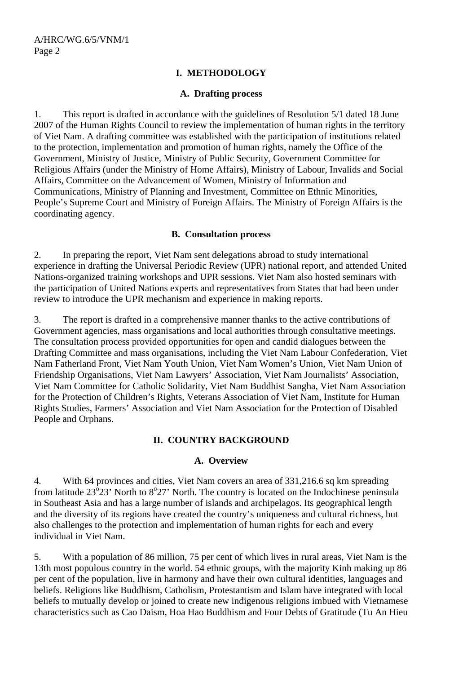# **I. METHODOLOGY**

## **A. Drafting process**

1. This report is drafted in accordance with the guidelines of Resolution 5/1 dated 18 June 2007 of the Human Rights Council to review the implementation of human rights in the territory of Viet Nam. A drafting committee was established with the participation of institutions related to the protection, implementation and promotion of human rights, namely the Office of the Government, Ministry of Justice, Ministry of Public Security, Government Committee for Religious Affairs (under the Ministry of Home Affairs), Ministry of Labour, Invalids and Social Affairs, Committee on the Advancement of Women, Ministry of Information and Communications, Ministry of Planning and Investment, Committee on Ethnic Minorities, People's Supreme Court and Ministry of Foreign Affairs. The Ministry of Foreign Affairs is the coordinating agency.

# **B. Consultation process**

2. In preparing the report, Viet Nam sent delegations abroad to study international experience in drafting the Universal Periodic Review (UPR) national report, and attended United Nations-organized training workshops and UPR sessions. Viet Nam also hosted seminars with the participation of United Nations experts and representatives from States that had been under review to introduce the UPR mechanism and experience in making reports.

3. The report is drafted in a comprehensive manner thanks to the active contributions of Government agencies, mass organisations and local authorities through consultative meetings. The consultation process provided opportunities for open and candid dialogues between the Drafting Committee and mass organisations, including the Viet Nam Labour Confederation, Viet Nam Fatherland Front, Viet Nam Youth Union, Viet Nam Women's Union, Viet Nam Union of Friendship Organisations, Viet Nam Lawyers' Association, Viet Nam Journalists' Association, Viet Nam Committee for Catholic Solidarity, Viet Nam Buddhist Sangha, Viet Nam Association for the Protection of Children's Rights, Veterans Association of Viet Nam, Institute for Human Rights Studies, Farmers' Association and Viet Nam Association for the Protection of Disabled People and Orphans.

# **II. COUNTRY BACKGROUND**

# **A. Overview**

4. With 64 provinces and cities, Viet Nam covers an area of 331,216.6 sq km spreading from latitude  $23^{\circ}23'$  North to  $8^{\circ}27'$  North. The country is located on the Indochinese peninsula in Southeast Asia and has a large number of islands and archipelagos. Its geographical length and the diversity of its regions have created the country's uniqueness and cultural richness, but also challenges to the protection and implementation of human rights for each and every individual in Viet Nam.

5. With a population of 86 million, 75 per cent of which lives in rural areas, Viet Nam is the 13th most populous country in the world. 54 ethnic groups, with the majority Kinh making up 86 per cent of the population, live in harmony and have their own cultural identities, languages and beliefs. Religions like Buddhism, Catholism, Protestantism and Islam have integrated with local beliefs to mutually develop or joined to create new indigenous religions imbued with Vietnamese characteristics such as Cao Daism, Hoa Hao Buddhism and Four Debts of Gratitude (Tu An Hieu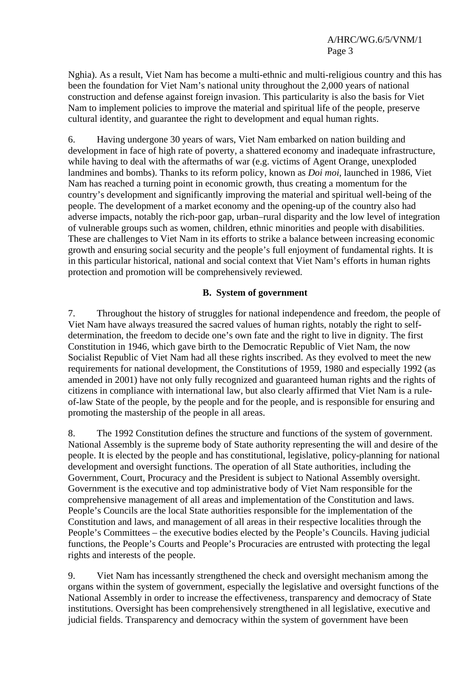Nghia). As a result, Viet Nam has become a multi-ethnic and multi-religious country and this has been the foundation for Viet Nam's national unity throughout the 2,000 years of national construction and defense against foreign invasion. This particularity is also the basis for Viet Nam to implement policies to improve the material and spiritual life of the people, preserve cultural identity, and guarantee the right to development and equal human rights.

6. Having undergone 30 years of wars, Viet Nam embarked on nation building and development in face of high rate of poverty, a shattered economy and inadequate infrastructure, while having to deal with the aftermaths of war (e.g. victims of Agent Orange, unexploded landmines and bombs). Thanks to its reform policy, known as *Doi moi*, launched in 1986, Viet Nam has reached a turning point in economic growth, thus creating a momentum for the country's development and significantly improving the material and spiritual well-being of the people. The development of a market economy and the opening-up of the country also had adverse impacts, notably the rich-poor gap, urban–rural disparity and the low level of integration of vulnerable groups such as women, children, ethnic minorities and people with disabilities. These are challenges to Viet Nam in its efforts to strike a balance between increasing economic growth and ensuring social security and the people's full enjoyment of fundamental rights. It is in this particular historical, national and social context that Viet Nam's efforts in human rights protection and promotion will be comprehensively reviewed.

# **B. System of government**

7. Throughout the history of struggles for national independence and freedom, the people of Viet Nam have always treasured the sacred values of human rights, notably the right to selfdetermination, the freedom to decide one's own fate and the right to live in dignity. The first Constitution in 1946, which gave birth to the Democratic Republic of Viet Nam, the now Socialist Republic of Viet Nam had all these rights inscribed. As they evolved to meet the new requirements for national development, the Constitutions of 1959, 1980 and especially 1992 (as amended in 2001) have not only fully recognized and guaranteed human rights and the rights of citizens in compliance with international law, but also clearly affirmed that Viet Nam is a ruleof-law State of the people, by the people and for the people, and is responsible for ensuring and promoting the mastership of the people in all areas.

8. The 1992 Constitution defines the structure and functions of the system of government. National Assembly is the supreme body of State authority representing the will and desire of the people. It is elected by the people and has constitutional, legislative, policy-planning for national development and oversight functions. The operation of all State authorities, including the Government, Court, Procuracy and the President is subject to National Assembly oversight. Government is the executive and top administrative body of Viet Nam responsible for the comprehensive management of all areas and implementation of the Constitution and laws. People's Councils are the local State authorities responsible for the implementation of the Constitution and laws, and management of all areas in their respective localities through the People's Committees – the executive bodies elected by the People's Councils. Having judicial functions, the People's Courts and People's Procuracies are entrusted with protecting the legal rights and interests of the people.

9. Viet Nam has incessantly strengthened the check and oversight mechanism among the organs within the system of government, especially the legislative and oversight functions of the National Assembly in order to increase the effectiveness, transparency and democracy of State institutions. Oversight has been comprehensively strengthened in all legislative, executive and judicial fields. Transparency and democracy within the system of government have been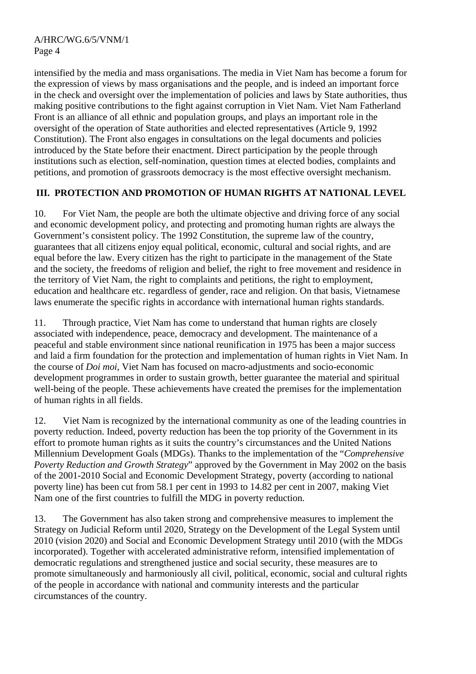intensified by the media and mass organisations. The media in Viet Nam has become a forum for the expression of views by mass organisations and the people, and is indeed an important force in the check and oversight over the implementation of policies and laws by State authorities, thus making positive contributions to the fight against corruption in Viet Nam. Viet Nam Fatherland Front is an alliance of all ethnic and population groups, and plays an important role in the oversight of the operation of State authorities and elected representatives (Article 9, 1992 Constitution). The Front also engages in consultations on the legal documents and policies introduced by the State before their enactment. Direct participation by the people through institutions such as election, self-nomination, question times at elected bodies, complaints and petitions, and promotion of grassroots democracy is the most effective oversight mechanism.

# **III. PROTECTION AND PROMOTION OF HUMAN RIGHTS AT NATIONAL LEVEL**

10. For Viet Nam, the people are both the ultimate objective and driving force of any social and economic development policy, and protecting and promoting human rights are always the Government's consistent policy. The 1992 Constitution, the supreme law of the country, guarantees that all citizens enjoy equal political, economic, cultural and social rights, and are equal before the law. Every citizen has the right to participate in the management of the State and the society, the freedoms of religion and belief, the right to free movement and residence in the territory of Viet Nam, the right to complaints and petitions, the right to employment, education and healthcare etc. regardless of gender, race and religion. On that basis, Vietnamese laws enumerate the specific rights in accordance with international human rights standards.

11. Through practice, Viet Nam has come to understand that human rights are closely associated with independence, peace, democracy and development. The maintenance of a peaceful and stable environment since national reunification in 1975 has been a major success and laid a firm foundation for the protection and implementation of human rights in Viet Nam. In the course of *Doi moi*, Viet Nam has focused on macro-adjustments and socio-economic development programmes in order to sustain growth, better guarantee the material and spiritual well-being of the people. These achievements have created the premises for the implementation of human rights in all fields.

12. Viet Nam is recognized by the international community as one of the leading countries in poverty reduction. Indeed, poverty reduction has been the top priority of the Government in its effort to promote human rights as it suits the country's circumstances and the United Nations Millennium Development Goals (MDGs). Thanks to the implementation of the "*Comprehensive Poverty Reduction and Growth Strategy*" approved by the Government in May 2002 on the basis of the 2001-2010 Social and Economic Development Strategy, poverty (according to national poverty line) has been cut from 58.1 per cent in 1993 to 14.82 per cent in 2007, making Viet Nam one of the first countries to fulfill the MDG in poverty reduction.

13. The Government has also taken strong and comprehensive measures to implement the Strategy on Judicial Reform until 2020, Strategy on the Development of the Legal System until 2010 (vision 2020) and Social and Economic Development Strategy until 2010 (with the MDGs incorporated). Together with accelerated administrative reform, intensified implementation of democratic regulations and strengthened justice and social security, these measures are to promote simultaneously and harmoniously all civil, political, economic, social and cultural rights of the people in accordance with national and community interests and the particular circumstances of the country.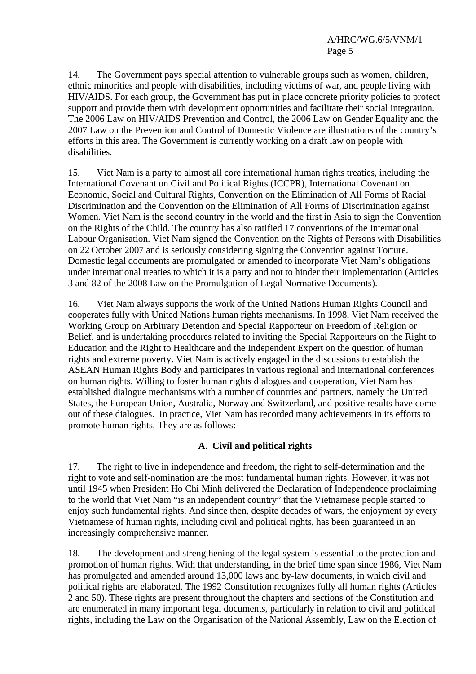14. The Government pays special attention to vulnerable groups such as women, children, ethnic minorities and people with disabilities, including victims of war, and people living with HIV/AIDS. For each group, the Government has put in place concrete priority policies to protect support and provide them with development opportunities and facilitate their social integration. The 2006 Law on HIV/AIDS Prevention and Control, the 2006 Law on Gender Equality and the 2007 Law on the Prevention and Control of Domestic Violence are illustrations of the country's efforts in this area. The Government is currently working on a draft law on people with disabilities.

15. Viet Nam is a party to almost all core international human rights treaties, including the International Covenant on Civil and Political Rights (ICCPR), International Covenant on Economic, Social and Cultural Rights, Convention on the Elimination of All Forms of Racial Discrimination and the Convention on the Elimination of All Forms of Discrimination against Women. Viet Nam is the second country in the world and the first in Asia to sign the Convention on the Rights of the Child. The country has also ratified 17 conventions of the International Labour Organisation. Viet Nam signed the Convention on the Rights of Persons with Disabilities on 22 October 2007 and is seriously considering signing the Convention against Torture. Domestic legal documents are promulgated or amended to incorporate Viet Nam's obligations under international treaties to which it is a party and not to hinder their implementation (Articles 3 and 82 of the 2008 Law on the Promulgation of Legal Normative Documents).

16. Viet Nam always supports the work of the United Nations Human Rights Council and cooperates fully with United Nations human rights mechanisms. In 1998, Viet Nam received the Working Group on Arbitrary Detention and Special Rapporteur on Freedom of Religion or Belief, and is undertaking procedures related to inviting the Special Rapporteurs on the Right to Education and the Right to Healthcare and the Independent Expert on the question of human rights and extreme poverty. Viet Nam is actively engaged in the discussions to establish the ASEAN Human Rights Body and participates in various regional and international conferences on human rights. Willing to foster human rights dialogues and cooperation, Viet Nam has established dialogue mechanisms with a number of countries and partners, namely the United States, the European Union, Australia, Norway and Switzerland, and positive results have come out of these dialogues. In practice, Viet Nam has recorded many achievements in its efforts to promote human rights. They are as follows:

# **A. Civil and political rights**

17. The right to live in independence and freedom, the right to self-determination and the right to vote and self-nomination are the most fundamental human rights. However, it was not until 1945 when President Ho Chi Minh delivered the Declaration of Independence proclaiming to the world that Viet Nam "is an independent country" that the Vietnamese people started to enjoy such fundamental rights. And since then, despite decades of wars, the enjoyment by every Vietnamese of human rights, including civil and political rights, has been guaranteed in an increasingly comprehensive manner.

18. The development and strengthening of the legal system is essential to the protection and promotion of human rights. With that understanding, in the brief time span since 1986, Viet Nam has promulgated and amended around 13,000 laws and by-law documents, in which civil and political rights are elaborated. The 1992 Constitution recognizes fully all human rights (Articles 2 and 50). These rights are present throughout the chapters and sections of the Constitution and are enumerated in many important legal documents, particularly in relation to civil and political rights, including the Law on the Organisation of the National Assembly, Law on the Election of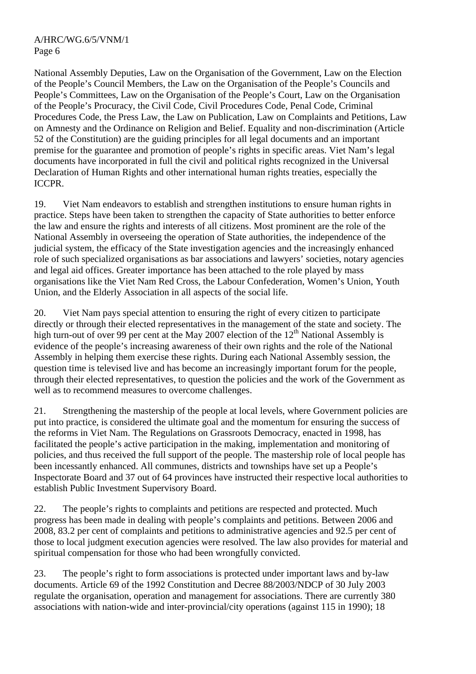National Assembly Deputies, Law on the Organisation of the Government, Law on the Election of the People's Council Members, the Law on the Organisation of the People's Councils and People's Committees, Law on the Organisation of the People's Court, Law on the Organisation of the People's Procuracy, the Civil Code, Civil Procedures Code, Penal Code, Criminal Procedures Code, the Press Law, the Law on Publication, Law on Complaints and Petitions, Law on Amnesty and the Ordinance on Religion and Belief. Equality and non-discrimination (Article 52 of the Constitution) are the guiding principles for all legal documents and an important premise for the guarantee and promotion of people's rights in specific areas. Viet Nam's legal documents have incorporated in full the civil and political rights recognized in the Universal Declaration of Human Rights and other international human rights treaties, especially the ICCPR.

19. Viet Nam endeavors to establish and strengthen institutions to ensure human rights in practice. Steps have been taken to strengthen the capacity of State authorities to better enforce the law and ensure the rights and interests of all citizens. Most prominent are the role of the National Assembly in overseeing the operation of State authorities, the independence of the judicial system, the efficacy of the State investigation agencies and the increasingly enhanced role of such specialized organisations as bar associations and lawyers' societies, notary agencies and legal aid offices. Greater importance has been attached to the role played by mass organisations like the Viet Nam Red Cross, the Labour Confederation, Women's Union, Youth Union, and the Elderly Association in all aspects of the social life.

20. Viet Nam pays special attention to ensuring the right of every citizen to participate directly or through their elected representatives in the management of the state and society. The high turn-out of over 99 per cent at the May 2007 election of the  $12<sup>th</sup>$  National Assembly is evidence of the people's increasing awareness of their own rights and the role of the National Assembly in helping them exercise these rights. During each National Assembly session, the question time is televised live and has become an increasingly important forum for the people, through their elected representatives, to question the policies and the work of the Government as well as to recommend measures to overcome challenges.

21. Strengthening the mastership of the people at local levels, where Government policies are put into practice, is considered the ultimate goal and the momentum for ensuring the success of the reforms in Viet Nam. The Regulations on Grassroots Democracy, enacted in 1998, has facilitated the people's active participation in the making, implementation and monitoring of policies, and thus received the full support of the people. The mastership role of local people has been incessantly enhanced. All communes, districts and townships have set up a People's Inspectorate Board and 37 out of 64 provinces have instructed their respective local authorities to establish Public Investment Supervisory Board.

22. The people's rights to complaints and petitions are respected and protected. Much progress has been made in dealing with people's complaints and petitions. Between 2006 and 2008, 83.2 per cent of complaints and petitions to administrative agencies and 92.5 per cent of those to local judgment execution agencies were resolved. The law also provides for material and spiritual compensation for those who had been wrongfully convicted.

23. The people's right to form associations is protected under important laws and by-law documents. Article 69 of the 1992 Constitution and Decree 88/2003/NDCP of 30 July 2003 regulate the organisation, operation and management for associations. There are currently 380 associations with nation-wide and inter-provincial/city operations (against 115 in 1990); 18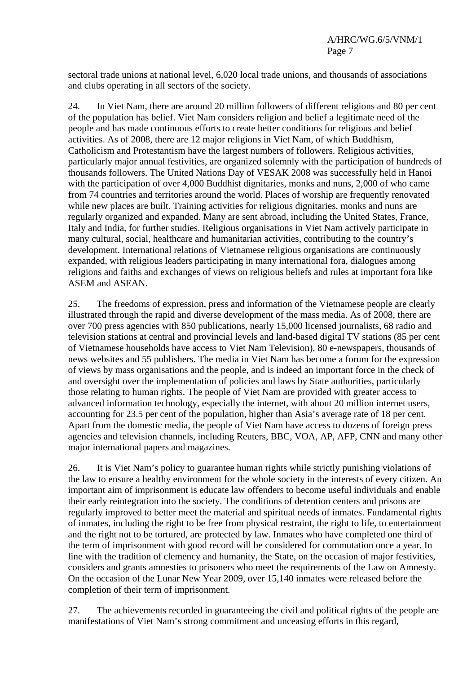sectoral trade unions at national level, 6,020 local trade unions, and thousands of associations and clubs operating in all sectors of the society.

24. In Viet Nam, there are around 20 million followers of different religions and 80 per cent of the population has belief. Viet Nam considers religion and belief a legitimate need of the people and has made continuous efforts to create better conditions for religious and belief activities. As of 2008, there are 12 major religions in Viet Nam, of which Buddhism, Catholicism and Protestantism have the largest numbers of followers. Religious activities, particularly major annual festivities, are organized solemnly with the participation of hundreds of thousands followers. The United Nations Day of VESAK 2008 was successfully held in Hanoi with the participation of over 4,000 Buddhist dignitaries, monks and nuns, 2,000 of who came from 74 countries and territories around the world. Places of worship are frequently renovated while new places are built. Training activities for religious dignitaries, monks and nuns are regularly organized and expanded. Many are sent abroad, including the United States, France, Italy and India, for further studies. Religious organisations in Viet Nam actively participate in many cultural, social, healthcare and humanitarian activities, contributing to the country's development. International relations of Vietnamese religious organisations are continuously expanded, with religious leaders participating in many international fora, dialogues among religions and faiths and exchanges of views on religious beliefs and rules at important fora like ASEM and ASEAN.

25. The freedoms of expression, press and information of the Vietnamese people are clearly illustrated through the rapid and diverse development of the mass media. As of 2008, there are over 700 press agencies with 850 publications, nearly 15,000 licensed journalists, 68 radio and television stations at central and provincial levels and land-based digital TV stations (85 per cent of Vietnamese households have access to Viet Nam Television), 80 e-newspapers, thousands of news websites and 55 publishers. The media in Viet Nam has become a forum for the expression of views by mass organisations and the people, and is indeed an important force in the check of and oversight over the implementation of policies and laws by State authorities, particularly those relating to human rights. The people of Viet Nam are provided with greater access to advanced information technology, especially the internet, with about 20 million internet users, accounting for 23.5 per cent of the population, higher than Asia's average rate of 18 per cent. Apart from the domestic media, the people of Viet Nam have access to dozens of foreign press agencies and television channels, including Reuters, BBC, VOA, AP, AFP, CNN and many other major international papers and magazines.

26. It is Viet Nam's policy to guarantee human rights while strictly punishing violations of the law to ensure a healthy environment for the whole society in the interests of every citizen. An important aim of imprisonment is educate law offenders to become useful individuals and enable their early reintegration into the society. The conditions of detention centers and prisons are regularly improved to better meet the material and spiritual needs of inmates. Fundamental rights of inmates, including the right to be free from physical restraint, the right to life, to entertainment and the right not to be tortured, are protected by law. Inmates who have completed one third of the term of imprisonment with good record will be considered for commutation once a year. In line with the tradition of clemency and humanity, the State, on the occasion of major festivities, considers and grants amnesties to prisoners who meet the requirements of the Law on Amnesty. On the occasion of the Lunar New Year 2009, over 15,140 inmates were released before the completion of their term of imprisonment.

27. The achievements recorded in guaranteeing the civil and political rights of the people are manifestations of Viet Nam's strong commitment and unceasing efforts in this regard,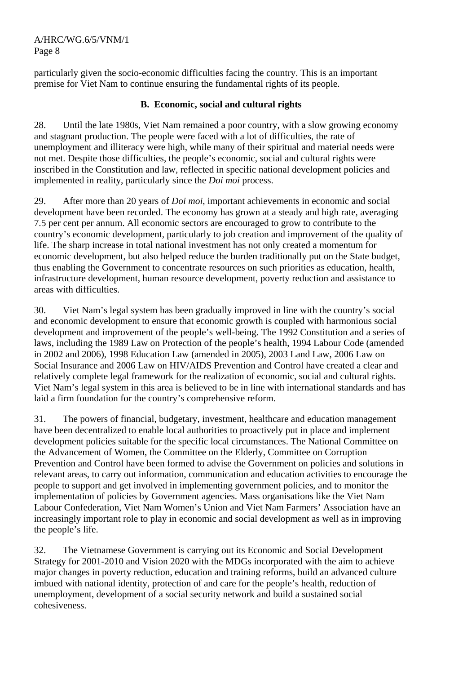A/HRC/WG.6/5/VNM/1 Page 8

particularly given the socio-economic difficulties facing the country. This is an important premise for Viet Nam to continue ensuring the fundamental rights of its people.

# **B. Economic, social and cultural rights**

28. Until the late 1980s, Viet Nam remained a poor country, with a slow growing economy and stagnant production. The people were faced with a lot of difficulties, the rate of unemployment and illiteracy were high, while many of their spiritual and material needs were not met. Despite those difficulties, the people's economic, social and cultural rights were inscribed in the Constitution and law, reflected in specific national development policies and implemented in reality, particularly since the *Doi moi* process.

29. After more than 20 years of *Doi moi*, important achievements in economic and social development have been recorded. The economy has grown at a steady and high rate, averaging 7.5 per cent per annum. All economic sectors are encouraged to grow to contribute to the country's economic development, particularly to job creation and improvement of the quality of life. The sharp increase in total national investment has not only created a momentum for economic development, but also helped reduce the burden traditionally put on the State budget, thus enabling the Government to concentrate resources on such priorities as education, health, infrastructure development, human resource development, poverty reduction and assistance to areas with difficulties.

30. Viet Nam's legal system has been gradually improved in line with the country's social and economic development to ensure that economic growth is coupled with harmonious social development and improvement of the people's well-being. The 1992 Constitution and a series of laws, including the 1989 Law on Protection of the people's health, 1994 Labour Code (amended in 2002 and 2006), 1998 Education Law (amended in 2005), 2003 Land Law, 2006 Law on Social Insurance and 2006 Law on HIV/AIDS Prevention and Control have created a clear and relatively complete legal framework for the realization of economic, social and cultural rights. Viet Nam's legal system in this area is believed to be in line with international standards and has laid a firm foundation for the country's comprehensive reform.

31. The powers of financial, budgetary, investment, healthcare and education management have been decentralized to enable local authorities to proactively put in place and implement development policies suitable for the specific local circumstances. The National Committee on the Advancement of Women, the Committee on the Elderly, Committee on Corruption Prevention and Control have been formed to advise the Government on policies and solutions in relevant areas, to carry out information, communication and education activities to encourage the people to support and get involved in implementing government policies, and to monitor the implementation of policies by Government agencies. Mass organisations like the Viet Nam Labour Confederation, Viet Nam Women's Union and Viet Nam Farmers' Association have an increasingly important role to play in economic and social development as well as in improving the people's life.

32. The Vietnamese Government is carrying out its Economic and Social Development Strategy for 2001-2010 and Vision 2020 with the MDGs incorporated with the aim to achieve major changes in poverty reduction, education and training reforms, build an advanced culture imbued with national identity, protection of and care for the people's health, reduction of unemployment, development of a social security network and build a sustained social cohesiveness.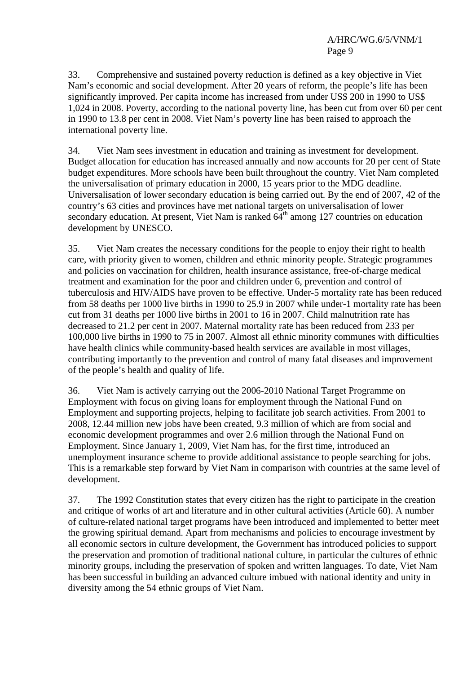33. Comprehensive and sustained poverty reduction is defined as a key objective in Viet Nam's economic and social development. After 20 years of reform, the people's life has been significantly improved. Per capita income has increased from under US\$ 200 in 1990 to US\$ 1,024 in 2008. Poverty, according to the national poverty line, has been cut from over 60 per cent in 1990 to 13.8 per cent in 2008. Viet Nam's poverty line has been raised to approach the international poverty line.

34. Viet Nam sees investment in education and training as investment for development. Budget allocation for education has increased annually and now accounts for 20 per cent of State budget expenditures. More schools have been built throughout the country. Viet Nam completed the universalisation of primary education in 2000, 15 years prior to the MDG deadline. Universalisation of lower secondary education is being carried out. By the end of 2007, 42 of the country's 63 cities and provinces have met national targets on universalisation of lower secondary education. At present, Viet Nam is ranked  $64<sup>th</sup>$  among 127 countries on education development by UNESCO.

35. Viet Nam creates the necessary conditions for the people to enjoy their right to health care, with priority given to women, children and ethnic minority people. Strategic programmes and policies on vaccination for children, health insurance assistance, free-of-charge medical treatment and examination for the poor and children under 6, prevention and control of tuberculosis and HIV/AIDS have proven to be effective. Under-5 mortality rate has been reduced from 58 deaths per 1000 live births in 1990 to 25.9 in 2007 while under-1 mortality rate has been cut from 31 deaths per 1000 live births in 2001 to 16 in 2007. Child malnutrition rate has decreased to 21.2 per cent in 2007. Maternal mortality rate has been reduced from 233 per 100,000 live births in 1990 to 75 in 2007. Almost all ethnic minority communes with difficulties have health clinics while community-based health services are available in most villages, contributing importantly to the prevention and control of many fatal diseases and improvement of the people's health and quality of life.

36. Viet Nam is actively carrying out the 2006-2010 National Target Programme on Employment with focus on giving loans for employment through the National Fund on Employment and supporting projects, helping to facilitate job search activities. From 2001 to 2008, 12.44 million new jobs have been created, 9.3 million of which are from social and economic development programmes and over 2.6 million through the National Fund on Employment. Since January 1, 2009, Viet Nam has, for the first time, introduced an unemployment insurance scheme to provide additional assistance to people searching for jobs. This is a remarkable step forward by Viet Nam in comparison with countries at the same level of development.

37. The 1992 Constitution states that every citizen has the right to participate in the creation and critique of works of art and literature and in other cultural activities (Article 60). A number of culture-related national target programs have been introduced and implemented to better meet the growing spiritual demand. Apart from mechanisms and policies to encourage investment by all economic sectors in culture development, the Government has introduced policies to support the preservation and promotion of traditional national culture, in particular the cultures of ethnic minority groups, including the preservation of spoken and written languages. To date, Viet Nam has been successful in building an advanced culture imbued with national identity and unity in diversity among the 54 ethnic groups of Viet Nam.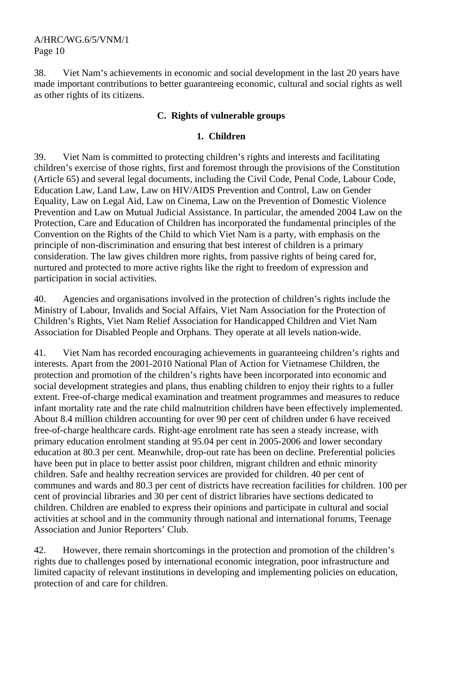38. Viet Nam's achievements in economic and social development in the last 20 years have made important contributions to better guaranteeing economic, cultural and social rights as well as other rights of its citizens.

# **C. Rights of vulnerable groups**

# **1. Children**

39. Viet Nam is committed to protecting children's rights and interests and facilitating children's exercise of those rights, first and foremost through the provisions of the Constitution (Article 65) and several legal documents, including the Civil Code, Penal Code, Labour Code, Education Law, Land Law, Law on HIV/AIDS Prevention and Control, Law on Gender Equality, Law on Legal Aid, Law on Cinema, Law on the Prevention of Domestic Violence Prevention and Law on Mutual Judicial Assistance. In particular, the amended 2004 Law on the Protection, Care and Education of Children has incorporated the fundamental principles of the Convention on the Rights of the Child to which Viet Nam is a party, with emphasis on the principle of non-discrimination and ensuring that best interest of children is a primary consideration. The law gives children more rights, from passive rights of being cared for, nurtured and protected to more active rights like the right to freedom of expression and participation in social activities.

40. Agencies and organisations involved in the protection of children's rights include the Ministry of Labour, Invalids and Social Affairs, Viet Nam Association for the Protection of Children's Rights, Viet Nam Relief Association for Handicapped Children and Viet Nam Association for Disabled People and Orphans. They operate at all levels nation-wide.

41. Viet Nam has recorded encouraging achievements in guaranteeing children's rights and interests. Apart from the 2001-2010 National Plan of Action for Vietnamese Children, the protection and promotion of the children's rights have been incorporated into economic and social development strategies and plans, thus enabling children to enjoy their rights to a fuller extent. Free-of-charge medical examination and treatment programmes and measures to reduce infant mortality rate and the rate child malnutrition children have been effectively implemented. About 8.4 million children accounting for over 90 per cent of children under 6 have received free-of-charge healthcare cards. Right-age enrolment rate has seen a steady increase, with primary education enrolment standing at 95.04 per cent in 2005-2006 and lower secondary education at 80.3 per cent. Meanwhile, drop-out rate has been on decline. Preferential policies have been put in place to better assist poor children, migrant children and ethnic minority children. Safe and healthy recreation services are provided for children. 40 per cent of communes and wards and 80.3 per cent of districts have recreation facilities for children. 100 per cent of provincial libraries and 30 per cent of district libraries have sections dedicated to children. Children are enabled to express their opinions and participate in cultural and social activities at school and in the community through national and international forums, Teenage Association and Junior Reporters' Club.

42. However, there remain shortcomings in the protection and promotion of the children's rights due to challenges posed by international economic integration, poor infrastructure and limited capacity of relevant institutions in developing and implementing policies on education, protection of and care for children.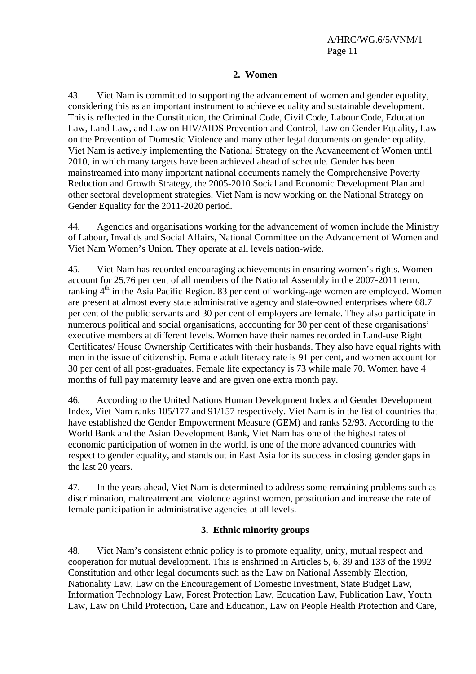#### **2. Women**

43. Viet Nam is committed to supporting the advancement of women and gender equality, considering this as an important instrument to achieve equality and sustainable development. This is reflected in the Constitution, the Criminal Code, Civil Code, Labour Code, Education Law, Land Law, and Law on HIV/AIDS Prevention and Control, Law on Gender Equality, Law on the Prevention of Domestic Violence and many other legal documents on gender equality. Viet Nam is actively implementing the National Strategy on the Advancement of Women until 2010, in which many targets have been achieved ahead of schedule. Gender has been mainstreamed into many important national documents namely the Comprehensive Poverty Reduction and Growth Strategy, the 2005-2010 Social and Economic Development Plan and other sectoral development strategies. Viet Nam is now working on the National Strategy on Gender Equality for the 2011-2020 period.

44. Agencies and organisations working for the advancement of women include the Ministry of Labour, Invalids and Social Affairs, National Committee on the Advancement of Women and Viet Nam Women's Union. They operate at all levels nation-wide.

45. Viet Nam has recorded encouraging achievements in ensuring women's rights. Women account for 25.76 per cent of all members of the National Assembly in the 2007-2011 term, ranking  $4<sup>th</sup>$  in the Asia Pacific Region. 83 per cent of working-age women are employed. Women are present at almost every state administrative agency and state-owned enterprises where 68.7 per cent of the public servants and 30 per cent of employers are female. They also participate in numerous political and social organisations, accounting for 30 per cent of these organisations' executive members at different levels. Women have their names recorded in Land-use Right Certificates/ House Ownership Certificates with their husbands. They also have equal rights with men in the issue of citizenship. Female adult literacy rate is 91 per cent, and women account for 30 per cent of all post-graduates. Female life expectancy is 73 while male 70. Women have 4 months of full pay maternity leave and are given one extra month pay.

46. According to the United Nations Human Development Index and Gender Development Index, Viet Nam ranks 105/177 and 91/157 respectively. Viet Nam is in the list of countries that have established the Gender Empowerment Measure (GEM) and ranks 52/93. According to the World Bank and the Asian Development Bank, Viet Nam has one of the highest rates of economic participation of women in the world, is one of the more advanced countries with respect to gender equality, and stands out in East Asia for its success in closing gender gaps in the last 20 years.

47. In the years ahead, Viet Nam is determined to address some remaining problems such as discrimination, maltreatment and violence against women, prostitution and increase the rate of female participation in administrative agencies at all levels.

#### **3. Ethnic minority groups**

48. Viet Nam's consistent ethnic policy is to promote equality, unity, mutual respect and cooperation for mutual development. This is enshrined in Articles 5, 6, 39 and 133 of the 1992 Constitution and other legal documents such as the Law on National Assembly Election, Nationality Law, Law on the Encouragement of Domestic Investment, State Budget Law, Information Technology Law, Forest Protection Law, Education Law, Publication Law, Youth Law, Law on Child Protection**,** Care and Education, Law on People Health Protection and Care,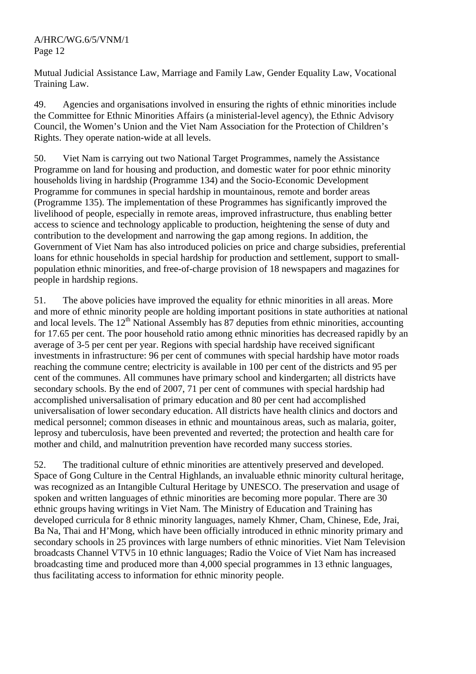Mutual Judicial Assistance Law, Marriage and Family Law, Gender Equality Law, Vocational Training Law.

49. Agencies and organisations involved in ensuring the rights of ethnic minorities include the Committee for Ethnic Minorities Affairs (a ministerial-level agency), the Ethnic Advisory Council, the Women's Union and the Viet Nam Association for the Protection of Children's Rights. They operate nation-wide at all levels.

50. Viet Nam is carrying out two National Target Programmes, namely the Assistance Programme on land for housing and production, and domestic water for poor ethnic minority households living in hardship (Programme 134) and the Socio-Economic Development Programme for communes in special hardship in mountainous, remote and border areas (Programme 135). The implementation of these Programmes has significantly improved the livelihood of people, especially in remote areas, improved infrastructure, thus enabling better access to science and technology applicable to production, heightening the sense of duty and contribution to the development and narrowing the gap among regions. In addition, the Government of Viet Nam has also introduced policies on price and charge subsidies, preferential loans for ethnic households in special hardship for production and settlement, support to smallpopulation ethnic minorities, and free-of-charge provision of 18 newspapers and magazines for people in hardship regions.

51. The above policies have improved the equality for ethnic minorities in all areas. More and more of ethnic minority people are holding important positions in state authorities at national and local levels. The  $12<sup>th</sup>$  National Assembly has 87 deputies from ethnic minorities, accounting for 17.65 per cent. The poor household ratio among ethnic minorities has decreased rapidly by an average of 3-5 per cent per year. Regions with special hardship have received significant investments in infrastructure: 96 per cent of communes with special hardship have motor roads reaching the commune centre; electricity is available in 100 per cent of the districts and 95 per cent of the communes. All communes have primary school and kindergarten; all districts have secondary schools. By the end of 2007, 71 per cent of communes with special hardship had accomplished universalisation of primary education and 80 per cent had accomplished universalisation of lower secondary education. All districts have health clinics and doctors and medical personnel; common diseases in ethnic and mountainous areas, such as malaria, goiter, leprosy and tuberculosis, have been prevented and reverted; the protection and health care for mother and child, and malnutrition prevention have recorded many success stories.

52. The traditional culture of ethnic minorities are attentively preserved and developed. Space of Gong Culture in the Central Highlands, an invaluable ethnic minority cultural heritage, was recognized as an Intangible Cultural Heritage by UNESCO. The preservation and usage of spoken and written languages of ethnic minorities are becoming more popular. There are 30 ethnic groups having writings in Viet Nam. The Ministry of Education and Training has developed curricula for 8 ethnic minority languages, namely Khmer, Cham, Chinese, Ede, Jrai, Ba Na, Thai and H'Mong, which have been officially introduced in ethnic minority primary and secondary schools in 25 provinces with large numbers of ethnic minorities. Viet Nam Television broadcasts Channel VTV5 in 10 ethnic languages; Radio the Voice of Viet Nam has increased broadcasting time and produced more than 4,000 special programmes in 13 ethnic languages, thus facilitating access to information for ethnic minority people.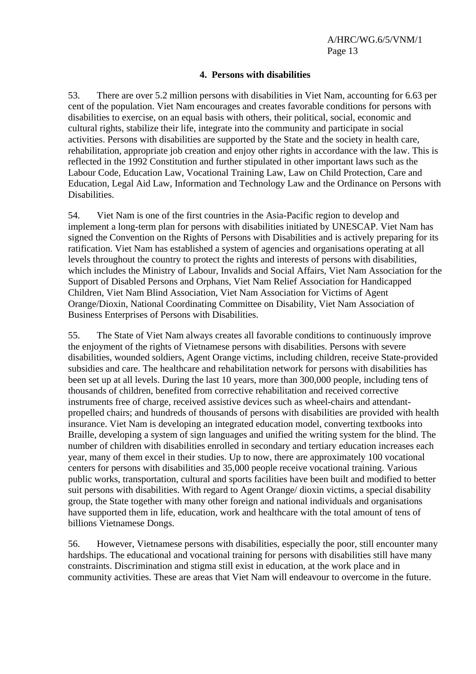#### **4. Persons with disabilities**

53. There are over 5.2 million persons with disabilities in Viet Nam, accounting for 6.63 per cent of the population. Viet Nam encourages and creates favorable conditions for persons with disabilities to exercise, on an equal basis with others, their political, social, economic and cultural rights, stabilize their life, integrate into the community and participate in social activities. Persons with disabilities are supported by the State and the society in health care, rehabilitation, appropriate job creation and enjoy other rights in accordance with the law. This is reflected in the 1992 Constitution and further stipulated in other important laws such as the Labour Code, Education Law, Vocational Training Law, Law on Child Protection, Care and Education, Legal Aid Law, Information and Technology Law and the Ordinance on Persons with Disabilities.

54. Viet Nam is one of the first countries in the Asia-Pacific region to develop and implement a long-term plan for persons with disabilities initiated by UNESCAP. Viet Nam has signed the Convention on the Rights of Persons with Disabilities and is actively preparing for its ratification. Viet Nam has established a system of agencies and organisations operating at all levels throughout the country to protect the rights and interests of persons with disabilities, which includes the Ministry of Labour, Invalids and Social Affairs, Viet Nam Association for the Support of Disabled Persons and Orphans, Viet Nam Relief Association for Handicapped Children, Viet Nam Blind Association, Viet Nam Association for Victims of Agent Orange/Dioxin, National Coordinating Committee on Disability, Viet Nam Association of Business Enterprises of Persons with Disabilities.

55. The State of Viet Nam always creates all favorable conditions to continuously improve the enjoyment of the rights of Vietnamese persons with disabilities. Persons with severe disabilities, wounded soldiers, Agent Orange victims, including children, receive State-provided subsidies and care. The healthcare and rehabilitation network for persons with disabilities has been set up at all levels. During the last 10 years, more than 300,000 people, including tens of thousands of children, benefited from corrective rehabilitation and received corrective instruments free of charge, received assistive devices such as wheel-chairs and attendantpropelled chairs; and hundreds of thousands of persons with disabilities are provided with health insurance. Viet Nam is developing an integrated education model, converting textbooks into Braille, developing a system of sign languages and unified the writing system for the blind. The number of children with disabilities enrolled in secondary and tertiary education increases each year, many of them excel in their studies. Up to now, there are approximately 100 vocational centers for persons with disabilities and 35,000 people receive vocational training. Various public works, transportation, cultural and sports facilities have been built and modified to better suit persons with disabilities. With regard to Agent Orange/ dioxin victims, a special disability group, the State together with many other foreign and national individuals and organisations have supported them in life, education, work and healthcare with the total amount of tens of billions Vietnamese Dongs.

56. However, Vietnamese persons with disabilities, especially the poor, still encounter many hardships. The educational and vocational training for persons with disabilities still have many constraints. Discrimination and stigma still exist in education, at the work place and in community activities. These are areas that Viet Nam will endeavour to overcome in the future.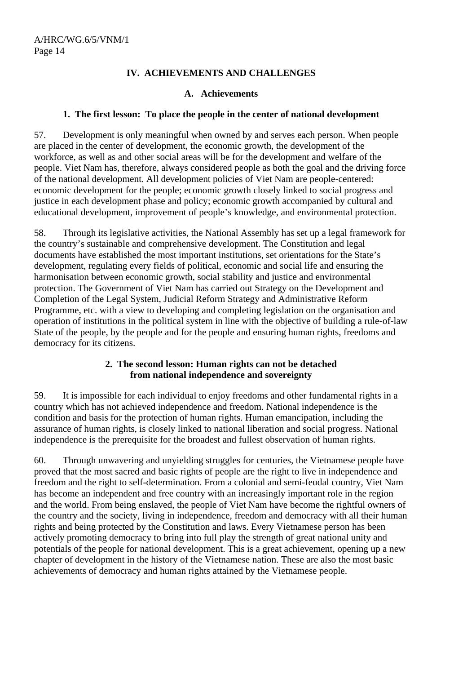# **IV. ACHIEVEMENTS AND CHALLENGES**

#### **A. Achievements**

## **1. The first lesson: To place the people in the center of national development**

57. Development is only meaningful when owned by and serves each person. When people are placed in the center of development, the economic growth, the development of the workforce, as well as and other social areas will be for the development and welfare of the people. Viet Nam has, therefore, always considered people as both the goal and the driving force of the national development. All development policies of Viet Nam are people-centered: economic development for the people; economic growth closely linked to social progress and justice in each development phase and policy; economic growth accompanied by cultural and educational development, improvement of people's knowledge, and environmental protection.

58. Through its legislative activities, the National Assembly has set up a legal framework for the country's sustainable and comprehensive development. The Constitution and legal documents have established the most important institutions, set orientations for the State's development, regulating every fields of political, economic and social life and ensuring the harmonisation between economic growth, social stability and justice and environmental protection. The Government of Viet Nam has carried out Strategy on the Development and Completion of the Legal System, Judicial Reform Strategy and Administrative Reform Programme, etc. with a view to developing and completing legislation on the organisation and operation of institutions in the political system in line with the objective of building a rule-of-law State of the people, by the people and for the people and ensuring human rights, freedoms and democracy for its citizens.

# **2. The second lesson: Human rights can not be detached from national independence and sovereignty**

59. It is impossible for each individual to enjoy freedoms and other fundamental rights in a country which has not achieved independence and freedom. National independence is the condition and basis for the protection of human rights. Human emancipation, including the assurance of human rights, is closely linked to national liberation and social progress. National independence is the prerequisite for the broadest and fullest observation of human rights.

60. Through unwavering and unyielding struggles for centuries, the Vietnamese people have proved that the most sacred and basic rights of people are the right to live in independence and freedom and the right to self-determination. From a colonial and semi-feudal country, Viet Nam has become an independent and free country with an increasingly important role in the region and the world. From being enslaved, the people of Viet Nam have become the rightful owners of the country and the society, living in independence, freedom and democracy with all their human rights and being protected by the Constitution and laws. Every Vietnamese person has been actively promoting democracy to bring into full play the strength of great national unity and potentials of the people for national development. This is a great achievement, opening up a new chapter of development in the history of the Vietnamese nation. These are also the most basic achievements of democracy and human rights attained by the Vietnamese people.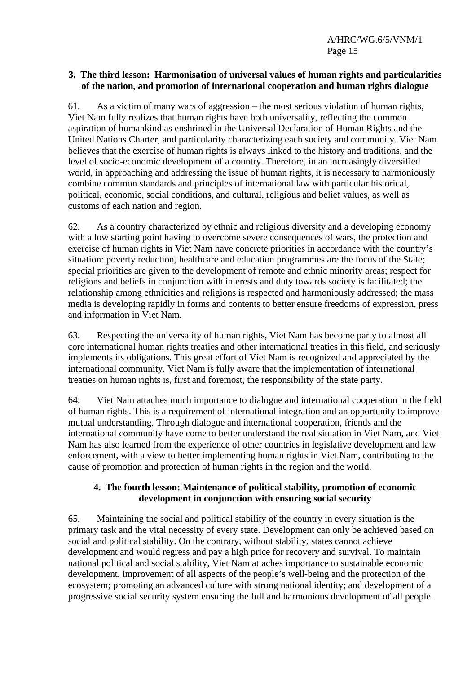A/HRC/WG.6/5/VNM/1 Page 15

#### **3. The third lesson: Harmonisation of universal values of human rights and particularities of the nation, and promotion of international cooperation and human rights dialogue**

61. As a victim of many wars of aggression – the most serious violation of human rights, Viet Nam fully realizes that human rights have both universality, reflecting the common aspiration of humankind as enshrined in the Universal Declaration of Human Rights and the United Nations Charter, and particularity characterizing each society and community. Viet Nam believes that the exercise of human rights is always linked to the history and traditions, and the level of socio-economic development of a country. Therefore, in an increasingly diversified world, in approaching and addressing the issue of human rights, it is necessary to harmoniously combine common standards and principles of international law with particular historical, political, economic, social conditions, and cultural, religious and belief values, as well as customs of each nation and region.

62. As a country characterized by ethnic and religious diversity and a developing economy with a low starting point having to overcome severe consequences of wars, the protection and exercise of human rights in Viet Nam have concrete priorities in accordance with the country's situation: poverty reduction, healthcare and education programmes are the focus of the State; special priorities are given to the development of remote and ethnic minority areas; respect for religions and beliefs in conjunction with interests and duty towards society is facilitated; the relationship among ethnicities and religions is respected and harmoniously addressed; the mass media is developing rapidly in forms and contents to better ensure freedoms of expression, press and information in Viet Nam.

63. Respecting the universality of human rights, Viet Nam has become party to almost all core international human rights treaties and other international treaties in this field, and seriously implements its obligations. This great effort of Viet Nam is recognized and appreciated by the international community. Viet Nam is fully aware that the implementation of international treaties on human rights is, first and foremost, the responsibility of the state party.

64. Viet Nam attaches much importance to dialogue and international cooperation in the field of human rights. This is a requirement of international integration and an opportunity to improve mutual understanding. Through dialogue and international cooperation, friends and the international community have come to better understand the real situation in Viet Nam, and Viet Nam has also learned from the experience of other countries in legislative development and law enforcement, with a view to better implementing human rights in Viet Nam, contributing to the cause of promotion and protection of human rights in the region and the world.

# **4. The fourth lesson: Maintenance of political stability, promotion of economic development in conjunction with ensuring social security**

65. Maintaining the social and political stability of the country in every situation is the primary task and the vital necessity of every state. Development can only be achieved based on social and political stability. On the contrary, without stability, states cannot achieve development and would regress and pay a high price for recovery and survival. To maintain national political and social stability, Viet Nam attaches importance to sustainable economic development, improvement of all aspects of the people's well-being and the protection of the ecosystem; promoting an advanced culture with strong national identity; and development of a progressive social security system ensuring the full and harmonious development of all people.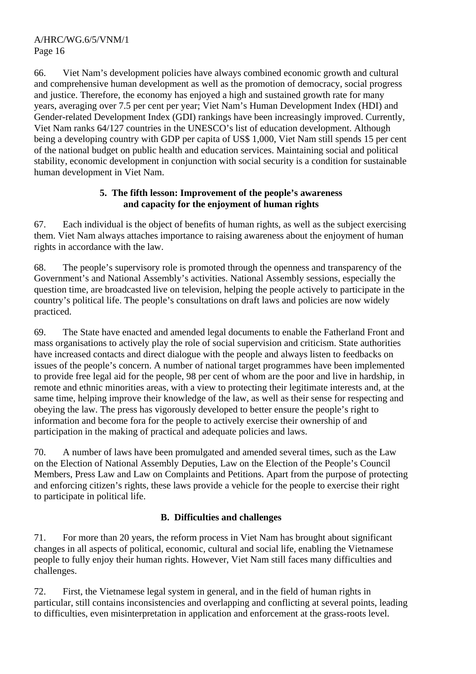66. Viet Nam's development policies have always combined economic growth and cultural and comprehensive human development as well as the promotion of democracy, social progress and justice. Therefore, the economy has enjoyed a high and sustained growth rate for many years, averaging over 7.5 per cent per year; Viet Nam's Human Development Index (HDI) and Gender-related Development Index (GDI) rankings have been increasingly improved. Currently, Viet Nam ranks 64/127 countries in the UNESCO's list of education development. Although being a developing country with GDP per capita of US\$ 1,000, Viet Nam still spends 15 per cent of the national budget on public health and education services. Maintaining social and political stability, economic development in conjunction with social security is a condition for sustainable human development in Viet Nam.

# **5. The fifth lesson: Improvement of the people's awareness and capacity for the enjoyment of human rights**

67. Each individual is the object of benefits of human rights, as well as the subject exercising them. Viet Nam always attaches importance to raising awareness about the enjoyment of human rights in accordance with the law.

68. The people's supervisory role is promoted through the openness and transparency of the Government's and National Assembly's activities. National Assembly sessions, especially the question time, are broadcasted live on television, helping the people actively to participate in the country's political life. The people's consultations on draft laws and policies are now widely practiced.

69. The State have enacted and amended legal documents to enable the Fatherland Front and mass organisations to actively play the role of social supervision and criticism. State authorities have increased contacts and direct dialogue with the people and always listen to feedbacks on issues of the people's concern. A number of national target programmes have been implemented to provide free legal aid for the people, 98 per cent of whom are the poor and live in hardship, in remote and ethnic minorities areas, with a view to protecting their legitimate interests and, at the same time, helping improve their knowledge of the law, as well as their sense for respecting and obeying the law. The press has vigorously developed to better ensure the people's right to information and become fora for the people to actively exercise their ownership of and participation in the making of practical and adequate policies and laws.

70. A number of laws have been promulgated and amended several times, such as the Law on the Election of National Assembly Deputies, Law on the Election of the People's Council Members, Press Law and Law on Complaints and Petitions. Apart from the purpose of protecting and enforcing citizen's rights, these laws provide a vehicle for the people to exercise their right to participate in political life.

# **B. Difficulties and challenges**

71. For more than 20 years, the reform process in Viet Nam has brought about significant changes in all aspects of political, economic, cultural and social life, enabling the Vietnamese people to fully enjoy their human rights. However, Viet Nam still faces many difficulties and challenges.

72. First, the Vietnamese legal system in general, and in the field of human rights in particular, still contains inconsistencies and overlapping and conflicting at several points, leading to difficulties, even misinterpretation in application and enforcement at the grass-roots level.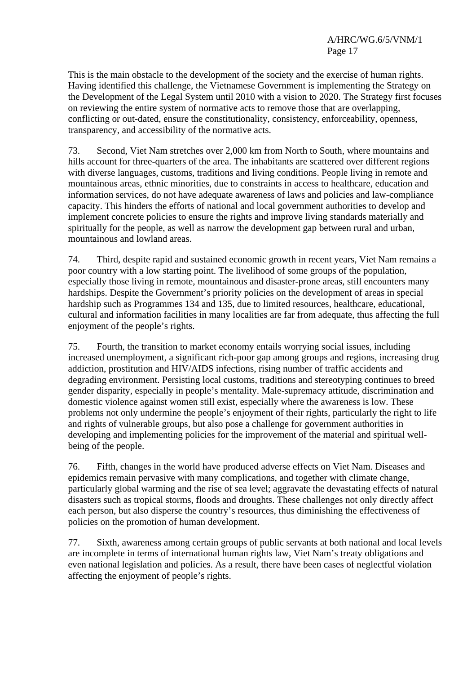This is the main obstacle to the development of the society and the exercise of human rights. Having identified this challenge, the Vietnamese Government is implementing the Strategy on the Development of the Legal System until 2010 with a vision to 2020. The Strategy first focuses on reviewing the entire system of normative acts to remove those that are overlapping, conflicting or out-dated, ensure the constitutionality, consistency, enforceability, openness, transparency, and accessibility of the normative acts.

73. Second, Viet Nam stretches over 2,000 km from North to South, where mountains and hills account for three-quarters of the area. The inhabitants are scattered over different regions with diverse languages, customs, traditions and living conditions. People living in remote and mountainous areas, ethnic minorities, due to constraints in access to healthcare, education and information services, do not have adequate awareness of laws and policies and law-compliance capacity. This hinders the efforts of national and local government authorities to develop and implement concrete policies to ensure the rights and improve living standards materially and spiritually for the people, as well as narrow the development gap between rural and urban, mountainous and lowland areas.

74. Third, despite rapid and sustained economic growth in recent years, Viet Nam remains a poor country with a low starting point. The livelihood of some groups of the population, especially those living in remote, mountainous and disaster-prone areas, still encounters many hardships. Despite the Government's priority policies on the development of areas in special hardship such as Programmes 134 and 135, due to limited resources, healthcare, educational, cultural and information facilities in many localities are far from adequate, thus affecting the full enjoyment of the people's rights.

75. Fourth, the transition to market economy entails worrying social issues, including increased unemployment, a significant rich-poor gap among groups and regions, increasing drug addiction, prostitution and HIV/AIDS infections, rising number of traffic accidents and degrading environment. Persisting local customs, traditions and stereotyping continues to breed gender disparity, especially in people's mentality. Male-supremacy attitude, discrimination and domestic violence against women still exist, especially where the awareness is low. These problems not only undermine the people's enjoyment of their rights, particularly the right to life and rights of vulnerable groups, but also pose a challenge for government authorities in developing and implementing policies for the improvement of the material and spiritual wellbeing of the people.

76. Fifth, changes in the world have produced adverse effects on Viet Nam. Diseases and epidemics remain pervasive with many complications, and together with climate change, particularly global warming and the rise of sea level; aggravate the devastating effects of natural disasters such as tropical storms, floods and droughts. These challenges not only directly affect each person, but also disperse the country's resources, thus diminishing the effectiveness of policies on the promotion of human development.

77. Sixth, awareness among certain groups of public servants at both national and local levels are incomplete in terms of international human rights law, Viet Nam's treaty obligations and even national legislation and policies. As a result, there have been cases of neglectful violation affecting the enjoyment of people's rights.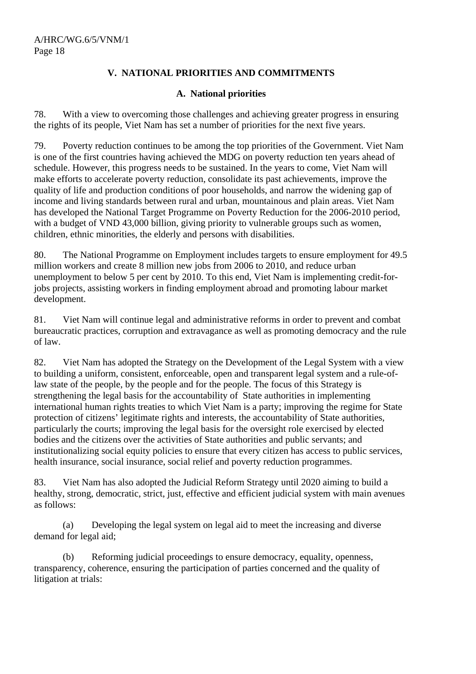# **V. NATIONAL PRIORITIES AND COMMITMENTS**

## **A. National priorities**

78. With a view to overcoming those challenges and achieving greater progress in ensuring the rights of its people, Viet Nam has set a number of priorities for the next five years.

79. Poverty reduction continues to be among the top priorities of the Government. Viet Nam is one of the first countries having achieved the MDG on poverty reduction ten years ahead of schedule. However, this progress needs to be sustained. In the years to come, Viet Nam will make efforts to accelerate poverty reduction, consolidate its past achievements, improve the quality of life and production conditions of poor households, and narrow the widening gap of income and living standards between rural and urban, mountainous and plain areas. Viet Nam has developed the National Target Programme on Poverty Reduction for the 2006-2010 period, with a budget of VND 43,000 billion, giving priority to vulnerable groups such as women, children, ethnic minorities, the elderly and persons with disabilities.

80. The National Programme on Employment includes targets to ensure employment for 49.5 million workers and create 8 million new jobs from 2006 to 2010, and reduce urban unemployment to below 5 per cent by 2010. To this end, Viet Nam is implementing credit-forjobs projects, assisting workers in finding employment abroad and promoting labour market development.

81. Viet Nam will continue legal and administrative reforms in order to prevent and combat bureaucratic practices, corruption and extravagance as well as promoting democracy and the rule of law.

82. Viet Nam has adopted the Strategy on the Development of the Legal System with a view to building a uniform, consistent, enforceable, open and transparent legal system and a rule-oflaw state of the people, by the people and for the people. The focus of this Strategy is strengthening the legal basis for the accountability of State authorities in implementing international human rights treaties to which Viet Nam is a party; improving the regime for State protection of citizens' legitimate rights and interests, the accountability of State authorities, particularly the courts; improving the legal basis for the oversight role exercised by elected bodies and the citizens over the activities of State authorities and public servants; and institutionalizing social equity policies to ensure that every citizen has access to public services, health insurance, social insurance, social relief and poverty reduction programmes.

83. Viet Nam has also adopted the Judicial Reform Strategy until 2020 aiming to build a healthy, strong, democratic, strict, just, effective and efficient judicial system with main avenues as follows:

 (a) Developing the legal system on legal aid to meet the increasing and diverse demand for legal aid;

 (b) Reforming judicial proceedings to ensure democracy, equality, openness, transparency, coherence, ensuring the participation of parties concerned and the quality of litigation at trials: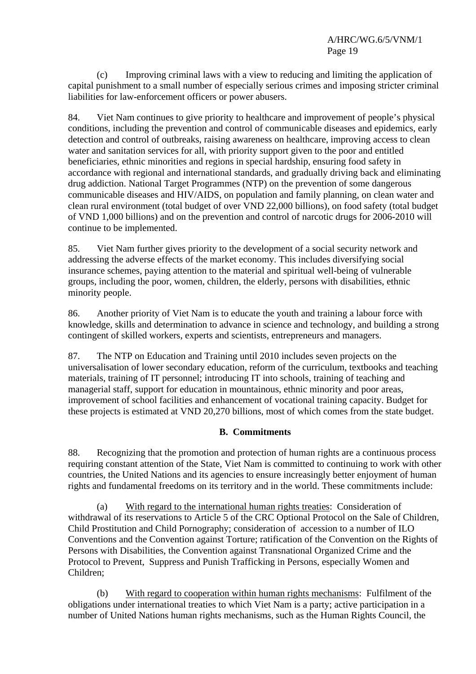(c) Improving criminal laws with a view to reducing and limiting the application of capital punishment to a small number of especially serious crimes and imposing stricter criminal liabilities for law-enforcement officers or power abusers.

84. Viet Nam continues to give priority to healthcare and improvement of people's physical conditions, including the prevention and control of communicable diseases and epidemics, early detection and control of outbreaks, raising awareness on healthcare, improving access to clean water and sanitation services for all, with priority support given to the poor and entitled beneficiaries, ethnic minorities and regions in special hardship, ensuring food safety in accordance with regional and international standards, and gradually driving back and eliminating drug addiction. National Target Programmes (NTP) on the prevention of some dangerous communicable diseases and HIV/AIDS, on population and family planning, on clean water and clean rural environment (total budget of over VND 22,000 billions), on food safety (total budget of VND 1,000 billions) and on the prevention and control of narcotic drugs for 2006-2010 will continue to be implemented.

85. Viet Nam further gives priority to the development of a social security network and addressing the adverse effects of the market economy. This includes diversifying social insurance schemes, paying attention to the material and spiritual well-being of vulnerable groups, including the poor, women, children, the elderly, persons with disabilities, ethnic minority people.

86. Another priority of Viet Nam is to educate the youth and training a labour force with knowledge, skills and determination to advance in science and technology, and building a strong contingent of skilled workers, experts and scientists, entrepreneurs and managers.

87. The NTP on Education and Training until 2010 includes seven projects on the universalisation of lower secondary education, reform of the curriculum, textbooks and teaching materials, training of IT personnel; introducing IT into schools, training of teaching and managerial staff, support for education in mountainous, ethnic minority and poor areas, improvement of school facilities and enhancement of vocational training capacity. Budget for these projects is estimated at VND 20,270 billions, most of which comes from the state budget.

# **B. Commitments**

88. Recognizing that the promotion and protection of human rights are a continuous process requiring constant attention of the State, Viet Nam is committed to continuing to work with other countries, the United Nations and its agencies to ensure increasingly better enjoyment of human rights and fundamental freedoms on its territory and in the world. These commitments include:

 (a) With regard to the international human rights treaties: Consideration of withdrawal of its reservations to Article 5 of the CRC Optional Protocol on the Sale of Children, Child Prostitution and Child Pornography; consideration of accession to a number of ILO Conventions and the Convention against Torture; ratification of the Convention on the Rights of Persons with Disabilities, the Convention against Transnational Organized Crime and the Protocol to Prevent, Suppress and Punish Trafficking in Persons, especially Women and Children;

 (b) With regard to cooperation within human rights mechanisms: Fulfilment of the obligations under international treaties to which Viet Nam is a party; active participation in a number of United Nations human rights mechanisms, such as the Human Rights Council, the